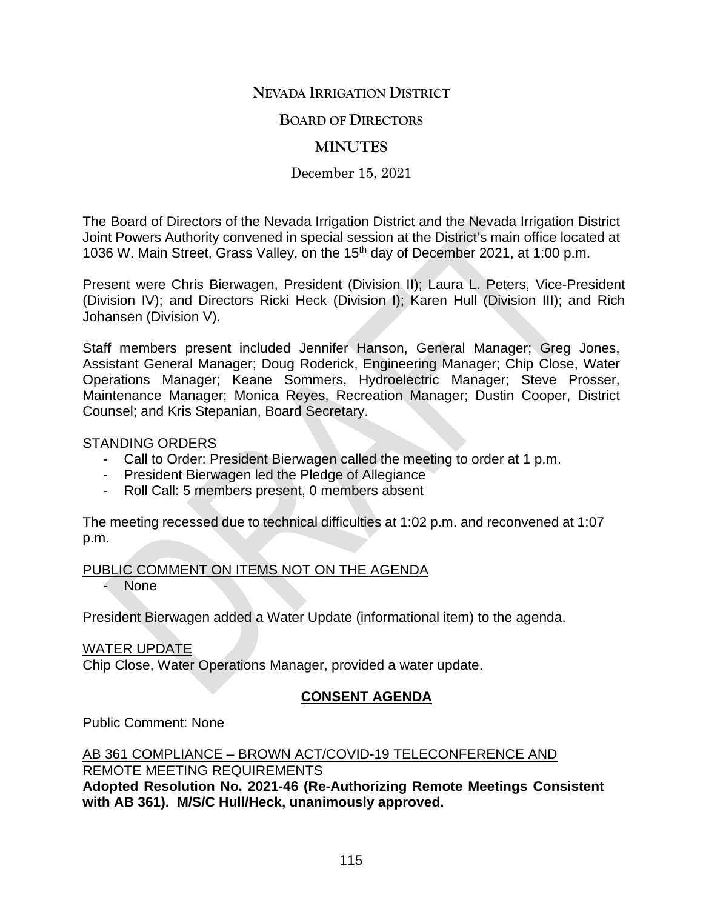# **NEVADA IRRIGATION DISTRICT**

## **BOARD OF DIRECTORS**

# **MINUTES**

December 15, 2021

The Board of Directors of the Nevada Irrigation District and the Nevada Irrigation District Joint Powers Authority convened in special session at the District's main office located at 1036 W. Main Street, Grass Valley, on the 15<sup>th</sup> day of December 2021, at 1:00 p.m.

Present were Chris Bierwagen, President (Division II); Laura L. Peters, Vice-President (Division IV); and Directors Ricki Heck (Division I); Karen Hull (Division III); and Rich Johansen (Division V).

Staff members present included Jennifer Hanson, General Manager; Greg Jones, Assistant General Manager; Doug Roderick, Engineering Manager; Chip Close, Water Operations Manager; Keane Sommers, Hydroelectric Manager; Steve Prosser, Maintenance Manager; Monica Reyes, Recreation Manager; Dustin Cooper, District Counsel; and Kris Stepanian, Board Secretary.

### STANDING ORDERS

- Call to Order: President Bierwagen called the meeting to order at 1 p.m.
- President Bierwagen led the Pledge of Allegiance
- Roll Call: 5 members present, 0 members absent

The meeting recessed due to technical difficulties at 1:02 p.m. and reconvened at 1:07 p.m.

PUBLIC COMMENT ON ITEMS NOT ON THE AGENDA

None

President Bierwagen added a Water Update (informational item) to the agenda.

### WATER UPDATE

Chip Close, Water Operations Manager, provided a water update.

## **CONSENT AGENDA**

Public Comment: None

#### AB 361 COMPLIANCE – BROWN ACT/COVID-19 TELECONFERENCE AND REMOTE MEETING REQUIREMENTS

**Adopted Resolution No. 2021-46 (Re-Authorizing Remote Meetings Consistent with AB 361). M/S/C Hull/Heck, unanimously approved.**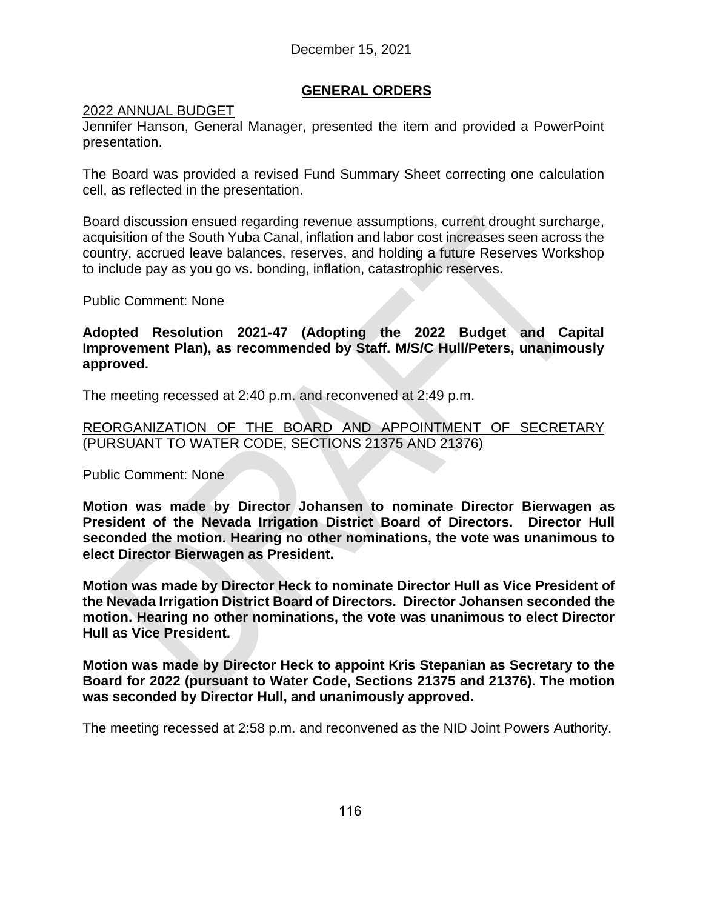## **GENERAL ORDERS**

### 2022 ANNUAL BUDGET

Jennifer Hanson, General Manager, presented the item and provided a PowerPoint presentation.

The Board was provided a revised Fund Summary Sheet correcting one calculation cell, as reflected in the presentation.

Board discussion ensued regarding revenue assumptions, current drought surcharge, acquisition of the South Yuba Canal, inflation and labor cost increases seen across the country, accrued leave balances, reserves, and holding a future Reserves Workshop to include pay as you go vs. bonding, inflation, catastrophic reserves.

Public Comment: None

### **Adopted Resolution 2021-47 (Adopting the 2022 Budget and Capital Improvement Plan), as recommended by Staff. M/S/C Hull/Peters, unanimously approved.**

The meeting recessed at 2:40 p.m. and reconvened at 2:49 p.m.

### REORGANIZATION OF THE BOARD AND APPOINTMENT OF SECRETARY (PURSUANT TO WATER CODE, SECTIONS 21375 AND 21376)

Public Comment: None

**Motion was made by Director Johansen to nominate Director Bierwagen as President of the Nevada Irrigation District Board of Directors. Director Hull seconded the motion. Hearing no other nominations, the vote was unanimous to elect Director Bierwagen as President.**

**Motion was made by Director Heck to nominate Director Hull as Vice President of the Nevada Irrigation District Board of Directors. Director Johansen seconded the motion. Hearing no other nominations, the vote was unanimous to elect Director Hull as Vice President.**

**Motion was made by Director Heck to appoint Kris Stepanian as Secretary to the Board for 2022 (pursuant to Water Code, Sections 21375 and 21376). The motion was seconded by Director Hull, and unanimously approved.**

The meeting recessed at 2:58 p.m. and reconvened as the NID Joint Powers Authority.